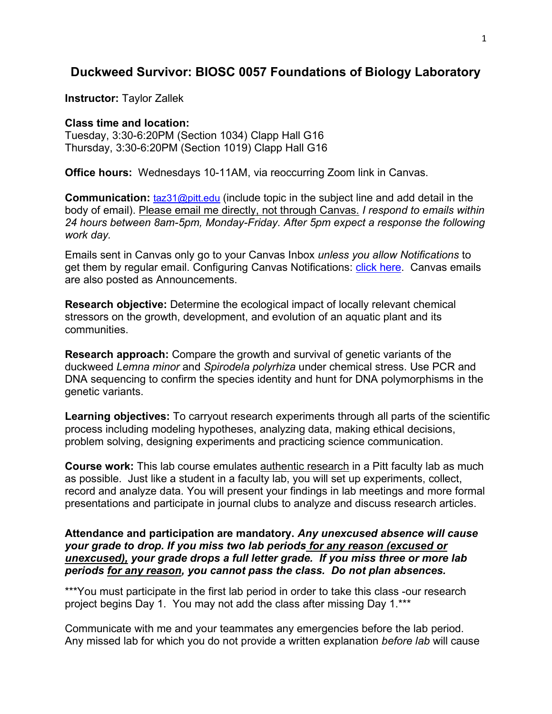# **Duckweed Survivor: BIOSC 0057 Foundations of Biology Laboratory**

**Instructor:** Taylor Zallek

#### **Class time and location:**

Tuesday, 3:30-6:20PM (Section 1034) Clapp Hall G16 Thursday, 3:30-6:20PM (Section 1019) Clapp Hall G16

**Office hours:** Wednesdays 10-11AM, via reoccurring Zoom link in Canvas.

**Communication: [taz31@pitt.edu](mailto:taz31@pitt.edu)** (include topic in the subject line and add detail in the body of email). Please email me directly, not through Canvas. *I respond to emails within 24 hours between 8am-5pm, Monday-Friday. After 5pm expect a response the following work day.* 

Emails sent in Canvas only go to your Canvas Inbox *unless you allow Notifications* to get them by regular email. Configuring Canvas Notifications: *click here.* Canvas emails are also posted as Announcements.

**Research objective:** Determine the ecological impact of locally relevant chemical stressors on the growth, development, and evolution of an aquatic plant and its communities.

**Research approach:** Compare the growth and survival of genetic variants of the duckweed *Lemna minor* and *Spirodela polyrhiza* under chemical stress. Use PCR and DNA sequencing to confirm the species identity and hunt for DNA polymorphisms in the genetic variants.

**Learning objectives:** To carryout research experiments through all parts of the scientific process including modeling hypotheses, analyzing data, making ethical decisions, problem solving, designing experiments and practicing science communication.

**Course work:** This lab course emulates authentic research in a Pitt faculty lab as much as possible. Just like a student in a faculty lab, you will set up experiments, collect, record and analyze data. You will present your findings in lab meetings and more formal presentations and participate in journal clubs to analyze and discuss research articles.

**Attendance and participation are mandatory.** *Any unexcused absence will cause your grade to drop. If you miss two lab periods for any reason (excused or unexcused), your grade drops a full letter grade. If you miss three or more lab periods for any reason, you cannot pass the class. Do not plan absences.*

\*\*\*You must participate in the first lab period in order to take this class -our research project begins Day 1. You may not add the class after missing Day 1.\*\*\*

Communicate with me and your teammates any emergencies before the lab period. Any missed lab for which you do not provide a written explanation *before lab* will cause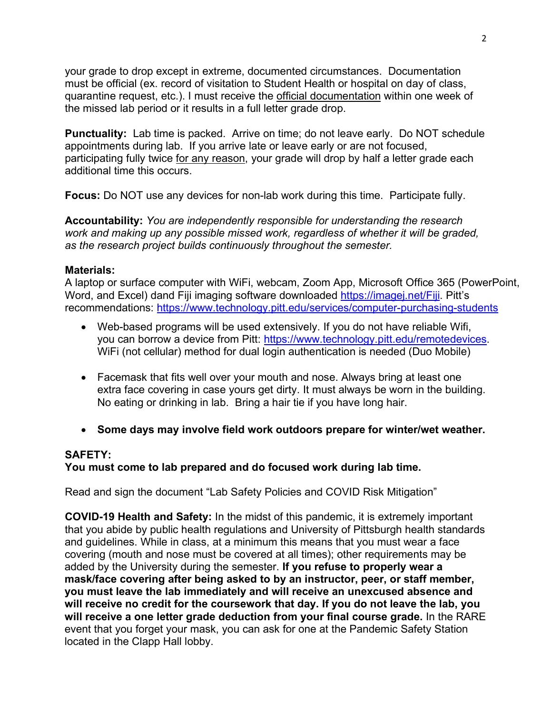your grade to drop except in extreme, documented circumstances. Documentation must be official (ex. record of visitation to Student Health or hospital on day of class, quarantine request, etc.). I must receive the official documentation within one week of the missed lab period or it results in a full letter grade drop.

**Punctuality:** Lab time is packed. Arrive on time; do not leave early. Do NOT schedule appointments during lab. If you arrive late or leave early or are not focused, participating fully twice for any reason, your grade will drop by half a letter grade each additional time this occurs.

**Focus:** Do NOT use any devices for non-lab work during this time. Participate fully.

**Accountability:** *You are independently responsible for understanding the research work and making up any possible missed work, regardless of whether it will be graded, as the research project builds continuously throughout the semester.*

### **Materials:**

A laptop or surface computer with WiFi, webcam, Zoom App, Microsoft Office 365 (PowerPoint, Word, and Excel) dand Fiji imaging software downloaded [https://imagej.net/Fiji.](https://imagej.net/Fiji) Pitt's recommendations:<https://www.technology.pitt.edu/services/computer-purchasing-students>

- Web-based programs will be used extensively. If you do not have reliable Wifi, you can borrow a device from Pitt: [https://www.technology.pitt.edu/remotedevices.](https://www.technology.pitt.edu/remotedevices) WiFi (not cellular) method for dual login authentication is needed (Duo Mobile)
- Facemask that fits well over your mouth and nose. Always bring at least one extra face covering in case yours get dirty. It must always be worn in the building. No eating or drinking in lab. Bring a hair tie if you have long hair.
- **Some days may involve field work outdoors prepare for winter/wet weather.**

### **SAFETY:**

### **You must come to lab prepared and do focused work during lab time.**

Read and sign the document "Lab Safety Policies and COVID Risk Mitigation"

**COVID-19 Health and Safety:** In the midst of this pandemic, it is extremely important that you abide by public health regulations and University of Pittsburgh health standards and guidelines. While in class, at a minimum this means that you must wear a face covering (mouth and nose must be covered at all times); other requirements may be added by the University during the semester. **If you refuse to properly wear a mask/face covering after being asked to by an instructor, peer, or staff member, you must leave the lab immediately and will receive an unexcused absence and will receive no credit for the coursework that day. If you do not leave the lab, you will receive a one letter grade deduction from your final course grade.** In the RARE event that you forget your mask, you can ask for one at the Pandemic Safety Station located in the Clapp Hall lobby.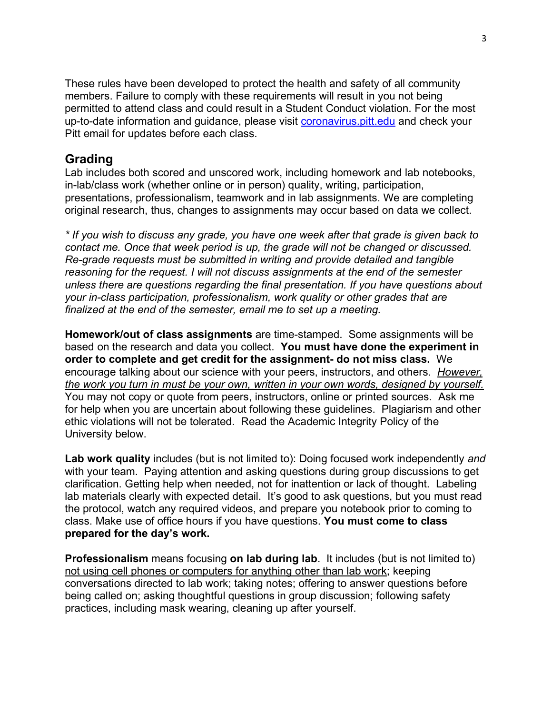These rules have been developed to protect the health and safety of all community members. Failure to comply with these requirements will result in you not being permitted to attend class and could result in a Student Conduct violation. For the most up-to-date information and guidance, please visit [coronavirus.pitt.edu](http://coronavirus.pitt.edu/) and check your Pitt email for updates before each class.

## **Grading**

Lab includes both scored and unscored work, including homework and lab notebooks, in-lab/class work (whether online or in person) quality, writing, participation, presentations, professionalism, teamwork and in lab assignments. We are completing original research, thus, changes to assignments may occur based on data we collect.

*\* If you wish to discuss any grade, you have one week after that grade is given back to contact me. Once that week period is up, the grade will not be changed or discussed. Re-grade requests must be submitted in writing and provide detailed and tangible reasoning for the request. I will not discuss assignments at the end of the semester unless there are questions regarding the final presentation. If you have questions about your in-class participation, professionalism, work quality or other grades that are finalized at the end of the semester, email me to set up a meeting.* 

**Homework/out of class assignments** are time-stamped. Some assignments will be based on the research and data you collect. **You must have done the experiment in order to complete and get credit for the assignment- do not miss class.** We encourage talking about our science with your peers, instructors, and others. *However, the work you turn in must be your own, written in your own words, designed by yourself.* You may not copy or quote from peers, instructors, online or printed sources. Ask me for help when you are uncertain about following these guidelines. Plagiarism and other ethic violations will not be tolerated. Read the Academic Integrity Policy of the University below.

**Lab work quality** includes (but is not limited to): Doing focused work independently *and* with your team. Paying attention and asking questions during group discussions to get clarification. Getting help when needed, not for inattention or lack of thought. Labeling lab materials clearly with expected detail. It's good to ask questions, but you must read the protocol, watch any required videos, and prepare you notebook prior to coming to class. Make use of office hours if you have questions. **You must come to class prepared for the day's work.**

**Professionalism** means focusing **on lab during lab**. It includes (but is not limited to) not using cell phones or computers for anything other than lab work; keeping conversations directed to lab work; taking notes; offering to answer questions before being called on; asking thoughtful questions in group discussion; following safety practices, including mask wearing, cleaning up after yourself.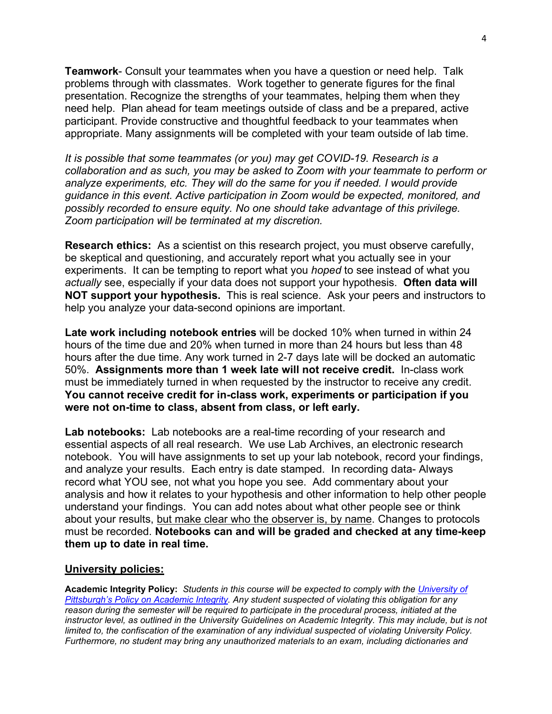**Teamwork**- Consult your teammates when you have a question or need help. Talk problems through with classmates. Work together to generate figures for the final presentation. Recognize the strengths of your teammates, helping them when they need help. Plan ahead for team meetings outside of class and be a prepared, active participant. Provide constructive and thoughtful feedback to your teammates when appropriate. Many assignments will be completed with your team outside of lab time.

*It is possible that some teammates (or you) may get COVID-19. Research is a collaboration and as such, you may be asked to Zoom with your teammate to perform or analyze experiments, etc. They will do the same for you if needed. I would provide guidance in this event. Active participation in Zoom would be expected, monitored, and possibly recorded to ensure equity. No one should take advantage of this privilege. Zoom participation will be terminated at my discretion.*

**Research ethics:** As a scientist on this research project, you must observe carefully, be skeptical and questioning, and accurately report what you actually see in your experiments. It can be tempting to report what you *hoped* to see instead of what you *actually* see, especially if your data does not support your hypothesis. **Often data will NOT support your hypothesis.** This is real science. Ask your peers and instructors to help you analyze your data-second opinions are important.

**Late work including notebook entries** will be docked 10% when turned in within 24 hours of the time due and 20% when turned in more than 24 hours but less than 48 hours after the due time. Any work turned in 2-7 days late will be docked an automatic 50%. **Assignments more than 1 week late will not receive credit.** In-class work must be immediately turned in when requested by the instructor to receive any credit. **You cannot receive credit for in-class work, experiments or participation if you were not on-time to class, absent from class, or left early.**

**Lab notebooks:** Lab notebooks are a real-time recording of your research and essential aspects of all real research. We use Lab Archives, an electronic research notebook. You will have assignments to set up your lab notebook, record your findings, and analyze your results. Each entry is date stamped. In recording data- Always record what YOU see, not what you hope you see. Add commentary about your analysis and how it relates to your hypothesis and other information to help other people understand your findings. You can add notes about what other people see or think about your results, but make clear who the observer is, by name. Changes to protocols must be recorded. **Notebooks can and will be graded and checked at any time-keep them up to date in real time.**

#### **University policies:**

**Academic Integrity Policy:** *Students in this course will be expected to comply with the [University of](https://www.provost.pitt.edu/info/ai1.html)  [Pittsburgh's Policy on Academic Integrity.](https://www.provost.pitt.edu/info/ai1.html) Any student suspected of violating this obligation for any reason during the semester will be required to participate in the procedural process, initiated at the*  instructor level, as outlined in the University Guidelines on Academic Integrity. This may include, but is not *limited to, the confiscation of the examination of any individual suspected of violating University Policy. Furthermore, no student may bring any unauthorized materials to an exam, including dictionaries and*